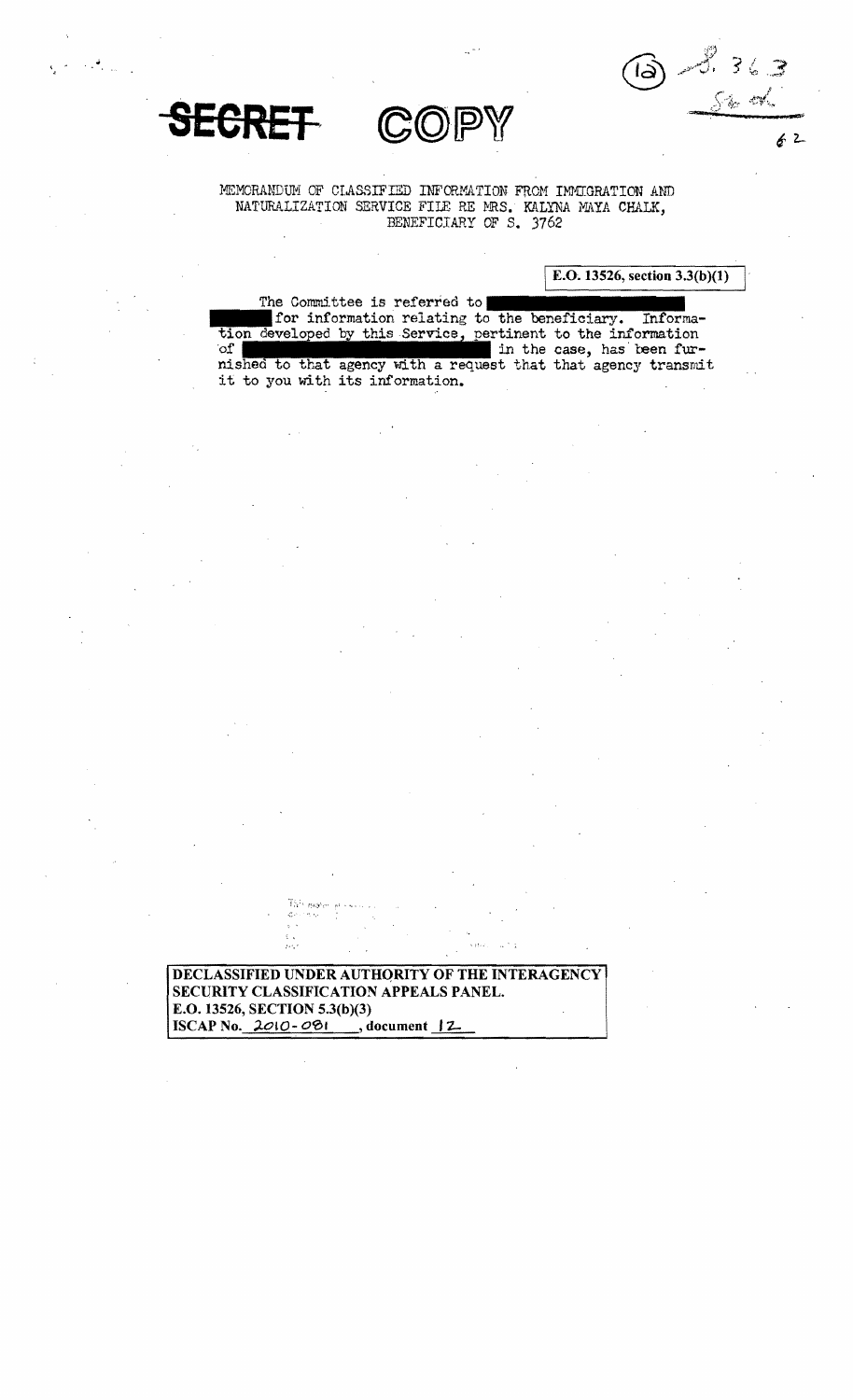8, 36.3<br>Sko<sup>rd</sup>  $\delta$ 

 $62$ 





MEMORANDUM OF CLASSIFIED INFORMATION FROM IMMIGRATION AND NATURALIZATION SERVICE FILE RE MRS. KALYNA MAYA CHALK, BENEFICIARY OF S. 3762

E.O. 13526, section  $3.3(b)(1)$ 

The Committee is referred to for information relating to the beneficiary. Information developed by this Service, pertinent to the information  $of<sub>1</sub>$ in the case, has been furnished to that agency with a request that that agency transmit it to you with its information.

DECLASSIFIED UNDER AUTHORITY OF THE INTERAGENCY SECURITY CLASSIFICATION APPEALS PANEL. E.O. 13526, SECTION 5.3(b)(3) ISCAP No.  $2010 - 081$ , document  $12$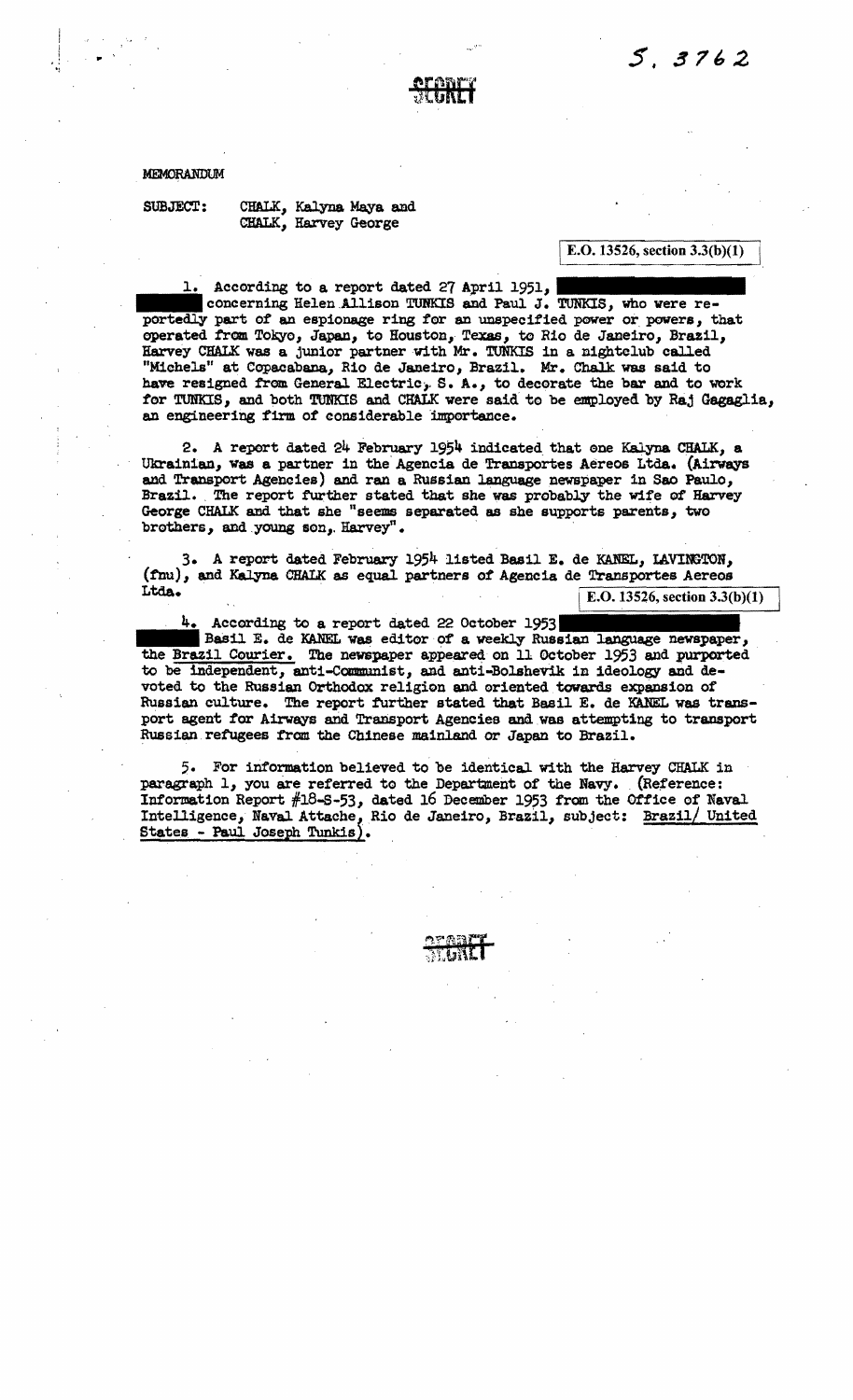

MEMORANDUM

SUBJECT: CHALK, Kalyna Maya and CHALK, Harvey George

IE.O. 13526, section 3.3(b)(1)

 $\mathbb{I}$ 

1. According to a report dated 27 April 1951, concerning Helen Allison TUNKIS and Paul J. TUNKIS, who were reportedly part of an espionage ring for an unspecified power or powers, that operated from Tokyo, Japan, to Houston, Texas, to Rio de Janeiro, Brazil, Harvey CHALK was a junior partner vith Mr. TUNKIS in a nightclub called "Michels" at Copacabana, Rio de Janeiro, Brazil. Mr. Chalk was said to have resigned from General Electric, S. A., to decorate the bar and to work for TUNKIS, and both TUNKIS and CHALK were said to be employed by Raj Gagaglia. an engineering firm of considerable importance.

2. A report dated 24 February 1954 indicated that one Kalyna CHALK, a Ukrainian, was a partner in the Agencia de Transportes Aereos Ltda. (Airways and Transport Agencies) and ran a Russian language newspaper in Sao Paulo, Brazil. The report further stated that she was probably the wife of Harvey George CHALK and that she "seems separated as she supports parents, two brothers, and young son, Harvey".

3. A report dated February 1954 listed Basil E. de KANEL, LAVINGTON,  $(\text{fnu})$ , and Kalyna CHALK as equal partners of Agencia de Transportes Aereos<br>Ltda.

E.O. 13526, section  $3.3(b)(1)$ 

4. According to a report dated 22 October 1953  $\blacksquare$  Basil E. de KANEL was editor of a weekly Russian language newspaper, the Brazil Courier. The newspaper appeared on 11 October 1953 and purported to be independent, anti-Communist, and anti-Bolshevik in ideology and devoted to the Russian Orthodox religion and oriented towards expansion of Russian culture. The report further stated that Basil E. de KANEL was transport agent for Airways and Transport Agencies and was attempting to transport Russian, refugees from the Chinese mainland or Japan to Brazil.

5. For information believed to be identical with the Harvey CHALK in paragraph 1, you are referred to the Department of the Navy. (Reference: Information Report  $#18-5-53$ , dated 16 December 1953 from the Office of Naval Intelligence, Naval Attache, Rio de Janeiro, Brazil, subject: Brazil/ United  $States - Paul Joseph Tunkis)$ .